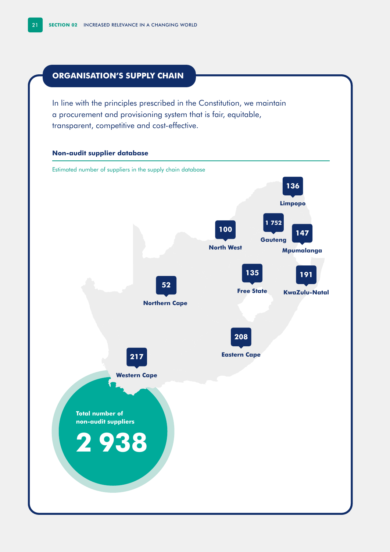# **ORGANISATION'S SUPPLY CHAIN**

In line with the principles prescribed in the Constitution, we maintain a procurement and provisioning system that is fair, equitable, transparent, competitive and cost-effective.

### **Non-audit supplier database**